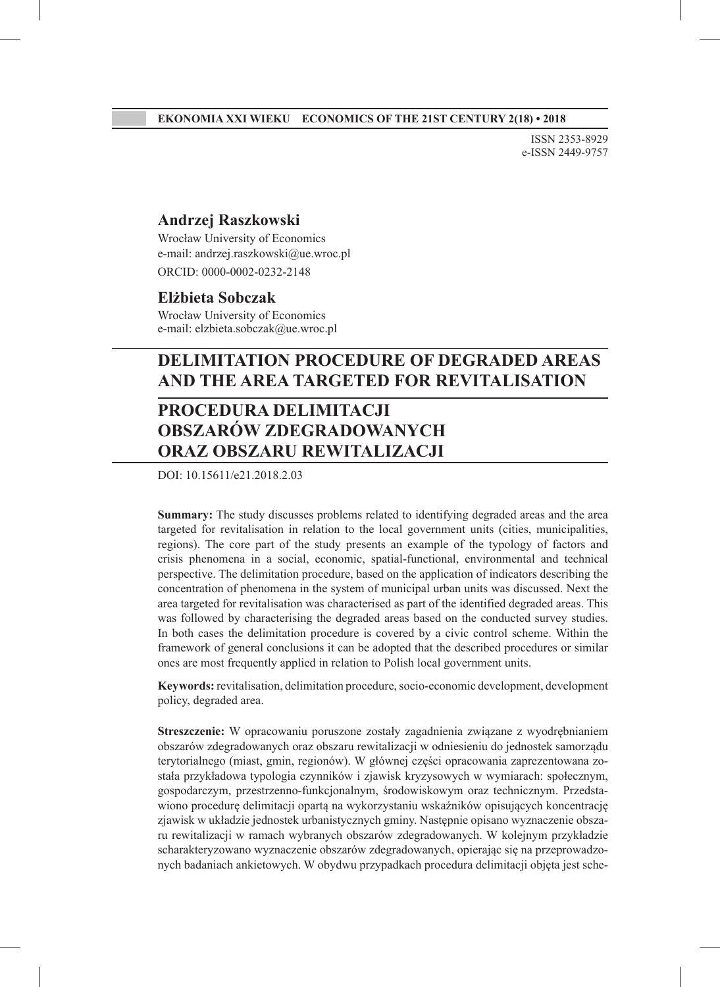ISSN 2353-8929 e-ISSN 2449-9757

### **Andrzej Raszkowski**

Wrocław University of Economics e-mail: andrzej.raszkowski@ue.wroc.pl ORCID: 0000-0002-0232-2148

#### **Elżbieta Sobczak**

Wrocław University of Economics e-mail: elzbieta.sobczak@ue.wroc.pl

## **DELIMITATION PROCEDURE OF DEGRADED AREAS AND THE AREA TARGETED FOR REVITALISATION**

# **PROCEDURA DELIMITACJI OBSZARÓW ZDEGRADOWANYCH ORAZ OBSZARU REWITALIZACJI**

DOI: 10.15611/e21.2018.2.03

**Summary:** The study discusses problems related to identifying degraded areas and the area targeted for revitalisation in relation to the local government units (cities, municipalities, regions). The core part of the study presents an example of the typology of factors and crisis phenomena in a social, economic, spatial-functional, environmental and technical perspective. The delimitation procedure, based on the application of indicators describing the concentration of phenomena in the system of municipal urban units was discussed. Next the area targeted for revitalisation was characterised as part of the identified degraded areas. This was followed by characterising the degraded areas based on the conducted survey studies. In both cases the delimitation procedure is covered by a civic control scheme. Within the framework of general conclusions it can be adopted that the described procedures or similar ones are most frequently applied in relation to Polish local government units.

**Keywords:** revitalisation, delimitation procedure, socio-economic development, development policy, degraded area.

**Streszczenie:** W opracowaniu poruszone zostały zagadnienia związane z wyodrębnianiem obszarów zdegradowanych oraz obszaru rewitalizacji w odniesieniu do jednostek samorządu terytorialnego (miast, gmin, regionów). W głównej części opracowania zaprezentowana została przykładowa typologia czynników i zjawisk kryzysowych w wymiarach: społecznym, gospodarczym, przestrzenno-funkcjonalnym, środowiskowym oraz technicznym. Przedstawiono procedurę delimitacji opartą na wykorzystaniu wskaźników opisujących koncentrację zjawisk w układzie jednostek urbanistycznych gminy. Następnie opisano wyznaczenie obszaru rewitalizacji w ramach wybranych obszarów zdegradowanych. W kolejnym przykładzie scharakteryzowano wyznaczenie obszarów zdegradowanych, opierając się na przeprowadzonych badaniach ankietowych. W obydwu przypadkach procedura delimitacji objęta jest sche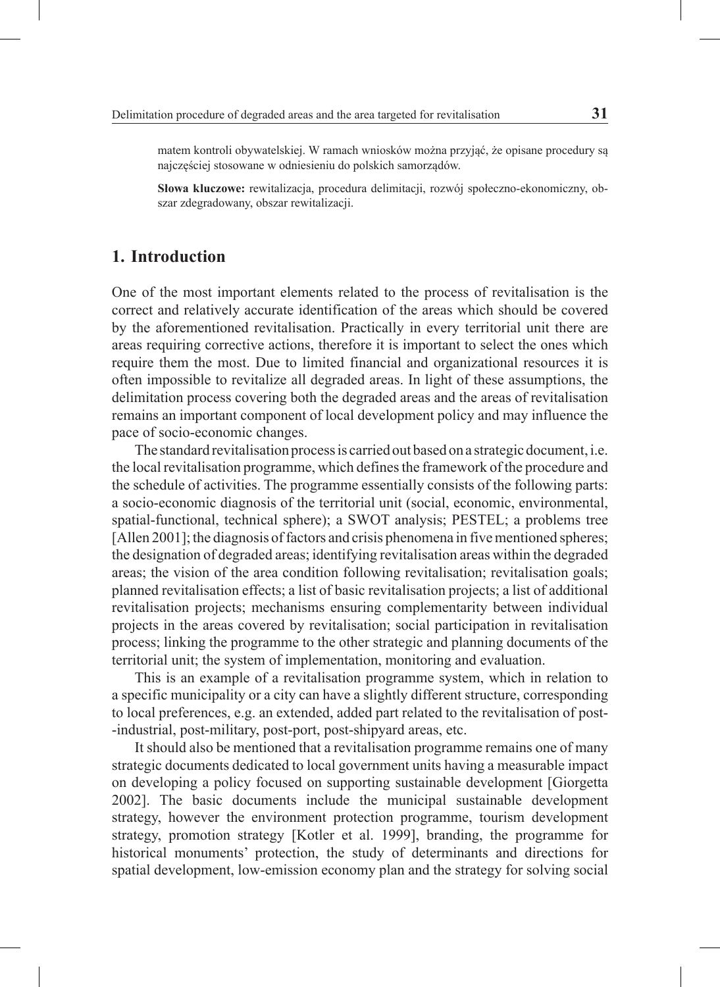matem kontroli obywatelskiej. W ramach wniosków można przyjąć, że opisane procedury są najczęściej stosowane w odniesieniu do polskich samorządów.

**Słowa kluczowe:** rewitalizacja, procedura delimitacji, rozwój społeczno-ekonomiczny, obszar zdegradowany, obszar rewitalizacji.

## **1. Introduction**

One of the most important elements related to the process of revitalisation is the correct and relatively accurate identification of the areas which should be covered by the aforementioned revitalisation. Practically in every territorial unit there are areas requiring corrective actions, therefore it is important to select the ones which require them the most. Due to limited financial and organizational resources it is often impossible to revitalize all degraded areas. In light of these assumptions, the delimitation process covering both the degraded areas and the areas of revitalisation remains an important component of local development policy and may influence the pace of socio-economic changes.

The standard revitalisation process is carried out based on a strategic document, i.e. the local revitalisation programme, which defines the framework of the procedure and the schedule of activities. The programme essentially consists of the following parts: a socio-economic diagnosis of the territorial unit (social, economic, environmental, spatial-functional, technical sphere); a SWOT analysis; PESTEL; a problems tree [Allen 2001]; the diagnosis of factors and crisis phenomena in five mentioned spheres; the designation of degraded areas; identifying revitalisation areas within the degraded areas; the vision of the area condition following revitalisation; revitalisation goals; planned revitalisation effects; a list of basic revitalisation projects; a list of additional revitalisation projects; mechanisms ensuring complementarity between individual projects in the areas covered by revitalisation; social participation in revitalisation process; linking the programme to the other strategic and planning documents of the territorial unit; the system of implementation, monitoring and evaluation.

This is an example of a revitalisation programme system, which in relation to a specific municipality or a city can have a slightly different structure, corresponding to local preferences, e.g. an extended, added part related to the revitalisation of post- -industrial, post-military, post-port, post-shipyard areas, etc.

It should also be mentioned that a revitalisation programme remains one of many strategic documents dedicated to local government units having a measurable impact on developing a policy focused on supporting sustainable development [Giorgetta 2002]. The basic documents include the municipal sustainable development strategy, however the environment protection programme, tourism development strategy, promotion strategy [Kotler et al. 1999], branding, the programme for historical monuments' protection, the study of determinants and directions for spatial development, low-emission economy plan and the strategy for solving social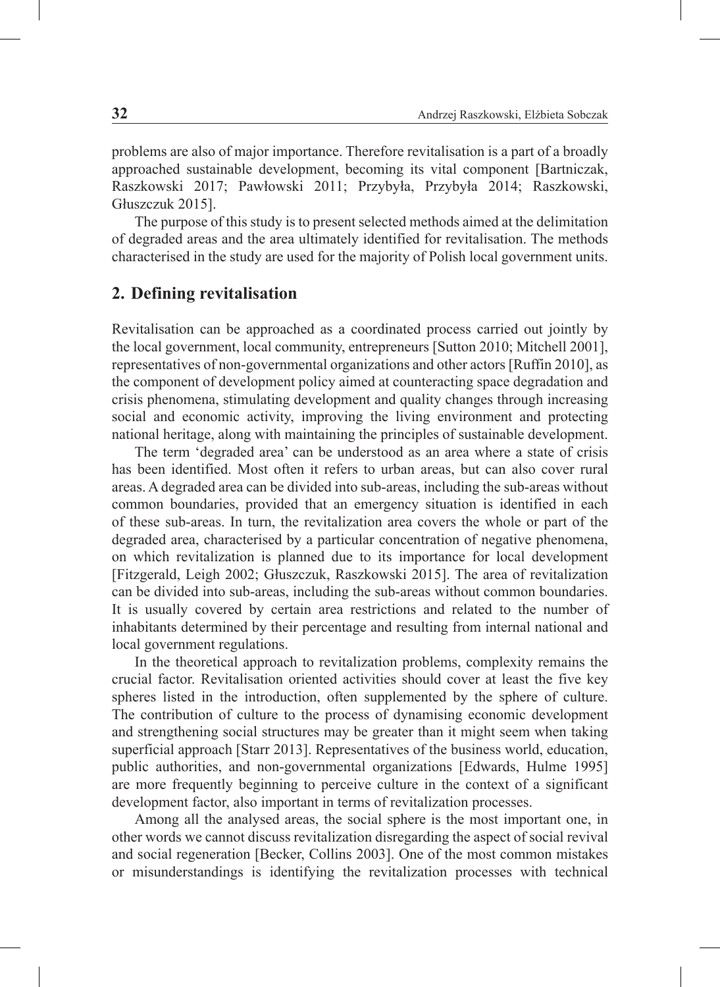problems are also of major importance. Therefore revitalisation is a part of a broadly approached sustainable development, becoming its vital component [Bartniczak, Raszkowski 2017; Pawłowski 2011; Przybyła, Przybyła 2014; Raszkowski, Głuszczuk 2015].

The purpose of this study is to present selected methods aimed at the delimitation of degraded areas and the area ultimately identified for revitalisation. The methods characterised in the study are used for the majority of Polish local government units.

## **2. Defining revitalisation**

Revitalisation can be approached as a coordinated process carried out jointly by the local government, local community, entrepreneurs [Sutton 2010; Mitchell 2001], representatives of non-governmental organizations and other actors [Ruffin 2010], as the component of development policy aimed at counteracting space degradation and crisis phenomena, stimulating development and quality changes through increasing social and economic activity, improving the living environment and protecting national heritage, along with maintaining the principles of sustainable development.

The term 'degraded area' can be understood as an area where a state of crisis has been identified. Most often it refers to urban areas, but can also cover rural areas. A degraded area can be divided into sub-areas, including the sub-areas without common boundaries, provided that an emergency situation is identified in each of these sub-areas. In turn, the revitalization area covers the whole or part of the degraded area, characterised by a particular concentration of negative phenomena, on which revitalization is planned due to its importance for local development [Fitzgerald, Leigh 2002; Głuszczuk, Raszkowski 2015]. The area of revitalization can be divided into sub-areas, including the sub-areas without common boundaries. It is usually covered by certain area restrictions and related to the number of inhabitants determined by their percentage and resulting from internal national and local government regulations.

In the theoretical approach to revitalization problems, complexity remains the crucial factor. Revitalisation oriented activities should cover at least the five key spheres listed in the introduction, often supplemented by the sphere of culture. The contribution of culture to the process of dynamising economic development and strengthening social structures may be greater than it might seem when taking superficial approach [Starr 2013]. Representatives of the business world, education, public authorities, and non-governmental organizations [Edwards, Hulme 1995] are more frequently beginning to perceive culture in the context of a significant development factor, also important in terms of revitalization processes.

Among all the analysed areas, the social sphere is the most important one, in other words we cannot discuss revitalization disregarding the aspect of social revival and social regeneration [Becker, Collins 2003]. One of the most common mistakes or misunderstandings is identifying the revitalization processes with technical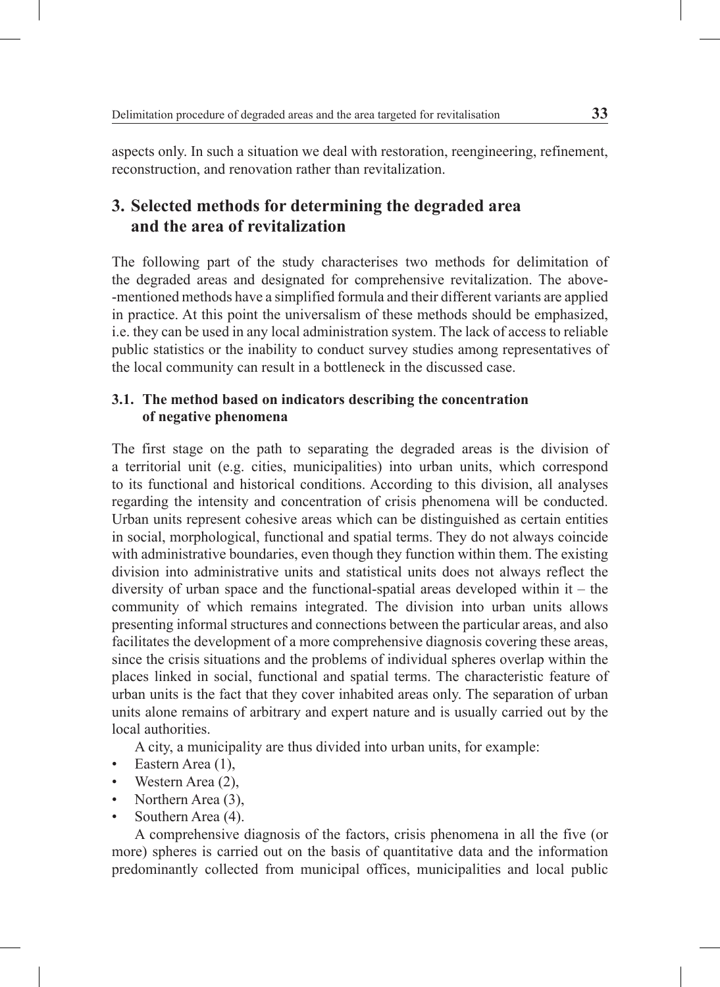aspects only. In such a situation we deal with restoration, reengineering, refinement, reconstruction, and renovation rather than revitalization.

# **3. Selected methods for determining the degraded area and the area of revitalization**

The following part of the study characterises two methods for delimitation of the degraded areas and designated for comprehensive revitalization. The above- -mentioned methods have a simplified formula and their different variants are applied in practice. At this point the universalism of these methods should be emphasized, i.e. they can be used in any local administration system. The lack of access to reliable public statistics or the inability to conduct survey studies among representatives of the local community can result in a bottleneck in the discussed case.

## **3.1. The method based on indicators describing the concentration of negative phenomena**

The first stage on the path to separating the degraded areas is the division of a territorial unit (e.g. cities, municipalities) into urban units, which correspond to its functional and historical conditions. According to this division, all analyses regarding the intensity and concentration of crisis phenomena will be conducted. Urban units represent cohesive areas which can be distinguished as certain entities in social, morphological, functional and spatial terms. They do not always coincide with administrative boundaries, even though they function within them. The existing division into administrative units and statistical units does not always reflect the diversity of urban space and the functional-spatial areas developed within  $it - the$ community of which remains integrated. The division into urban units allows presenting informal structures and connections between the particular areas, and also facilitates the development of a more comprehensive diagnosis covering these areas, since the crisis situations and the problems of individual spheres overlap within the places linked in social, functional and spatial terms. The characteristic feature of urban units is the fact that they cover inhabited areas only. The separation of urban units alone remains of arbitrary and expert nature and is usually carried out by the local authorities.

A city, a municipality are thus divided into urban units, for example:

- Eastern Area (1),
- Western Area (2).
- Northern Area (3).
- Southern Area (4).

A comprehensive diagnosis of the factors, crisis phenomena in all the five (or more) spheres is carried out on the basis of quantitative data and the information predominantly collected from municipal offices, municipalities and local public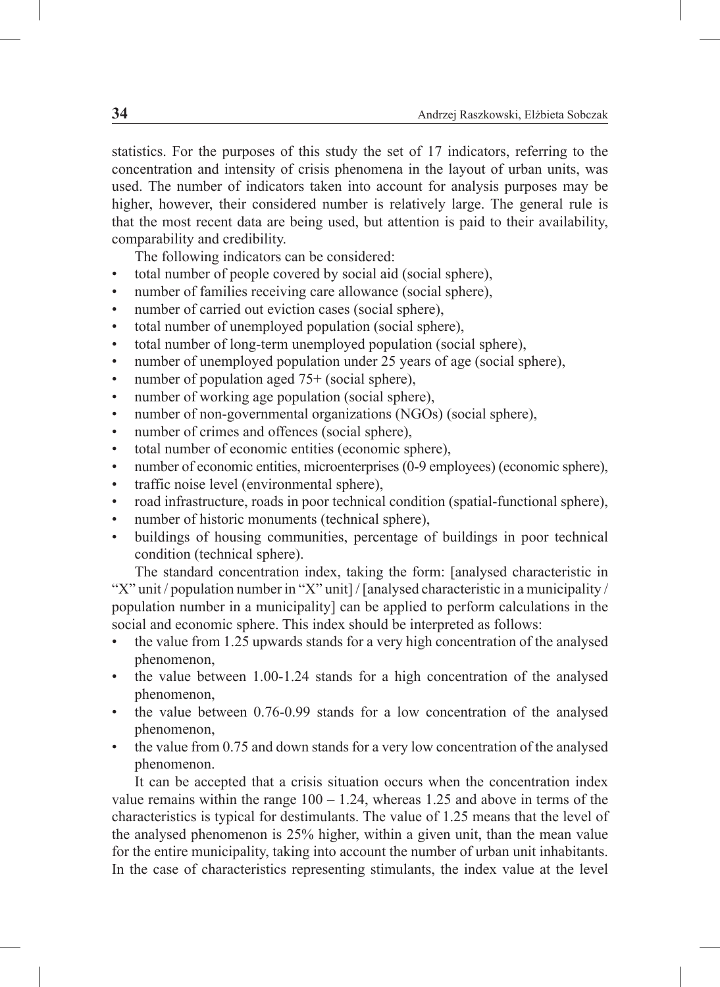statistics. For the purposes of this study the set of 17 indicators, referring to the concentration and intensity of crisis phenomena in the layout of urban units, was used. The number of indicators taken into account for analysis purposes may be higher, however, their considered number is relatively large. The general rule is that the most recent data are being used, but attention is paid to their availability, comparability and credibility.

The following indicators can be considered:

- total number of people covered by social aid (social sphere),
- number of families receiving care allowance (social sphere),
- number of carried out eviction cases (social sphere),
- total number of unemployed population (social sphere),
- total number of long-term unemployed population (social sphere),
- number of unemployed population under 25 years of age (social sphere),
- number of population aged 75+ (social sphere),
- number of working age population (social sphere),
- number of non-governmental organizations (NGOs) (social sphere),
- number of crimes and offences (social sphere),
- total number of economic entities (economic sphere),
- number of economic entities, microenterprises (0-9 employees) (economic sphere),
- traffic noise level (environmental sphere),
- road infrastructure, roads in poor technical condition (spatial-functional sphere),
- number of historic monuments (technical sphere),
- buildings of housing communities, percentage of buildings in poor technical condition (technical sphere).

The standard concentration index, taking the form: [analysed characteristic in "X" unit / population number in "X" unit] / [analysed characteristic in a municipality / population number in a municipality] can be applied to perform calculations in the social and economic sphere. This index should be interpreted as follows:

- the value from 1.25 upwards stands for a very high concentration of the analysed phenomenon,
- the value between 1.00-1.24 stands for a high concentration of the analysed phenomenon,
- the value between 0.76-0.99 stands for a low concentration of the analysed phenomenon,
- the value from 0.75 and down stands for a very low concentration of the analysed phenomenon.

It can be accepted that a crisis situation occurs when the concentration index value remains within the range  $100 - 1.24$ , whereas 1.25 and above in terms of the characteristics is typical for destimulants. The value of 1.25 means that the level of the analysed phenomenon is 25% higher, within a given unit, than the mean value for the entire municipality, taking into account the number of urban unit inhabitants. In the case of characteristics representing stimulants, the index value at the level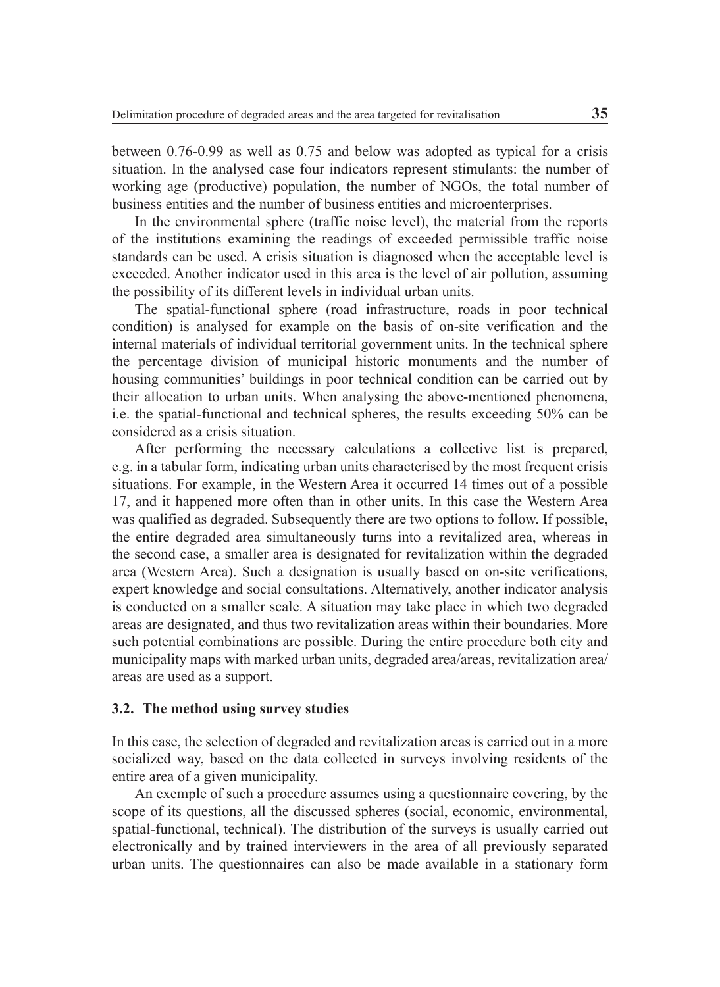between 0.76-0.99 as well as 0.75 and below was adopted as typical for a crisis situation. In the analysed case four indicators represent stimulants: the number of working age (productive) population, the number of NGOs, the total number of business entities and the number of business entities and microenterprises.

In the environmental sphere (traffic noise level), the material from the reports of the institutions examining the readings of exceeded permissible traffic noise standards can be used. A crisis situation is diagnosed when the acceptable level is exceeded. Another indicator used in this area is the level of air pollution, assuming the possibility of its different levels in individual urban units.

The spatial-functional sphere (road infrastructure, roads in poor technical condition) is analysed for example on the basis of on-site verification and the internal materials of individual territorial government units. In the technical sphere the percentage division of municipal historic monuments and the number of housing communities' buildings in poor technical condition can be carried out by their allocation to urban units. When analysing the above-mentioned phenomena, i.e. the spatial-functional and technical spheres, the results exceeding 50% can be considered as a crisis situation.

After performing the necessary calculations a collective list is prepared, e.g. in a tabular form, indicating urban units characterised by the most frequent crisis situations. For example, in the Western Area it occurred 14 times out of a possible 17, and it happened more often than in other units. In this case the Western Area was qualified as degraded. Subsequently there are two options to follow. If possible, the entire degraded area simultaneously turns into a revitalized area, whereas in the second case, a smaller area is designated for revitalization within the degraded area (Western Area). Such a designation is usually based on on-site verifications, expert knowledge and social consultations. Alternatively, another indicator analysis is conducted on a smaller scale. A situation may take place in which two degraded areas are designated, and thus two revitalization areas within their boundaries. More such potential combinations are possible. During the entire procedure both city and municipality maps with marked urban units, degraded area/areas, revitalization area/ areas are used as a support.

### **3.2. The method using survey studies**

In this case, the selection of degraded and revitalization areas is carried out in a more socialized way, based on the data collected in surveys involving residents of the entire area of a given municipality.

An exemple of such a procedure assumes using a questionnaire covering, by the scope of its questions, all the discussed spheres (social, economic, environmental, spatial-functional, technical). The distribution of the surveys is usually carried out electronically and by trained interviewers in the area of all previously separated urban units. The questionnaires can also be made available in a stationary form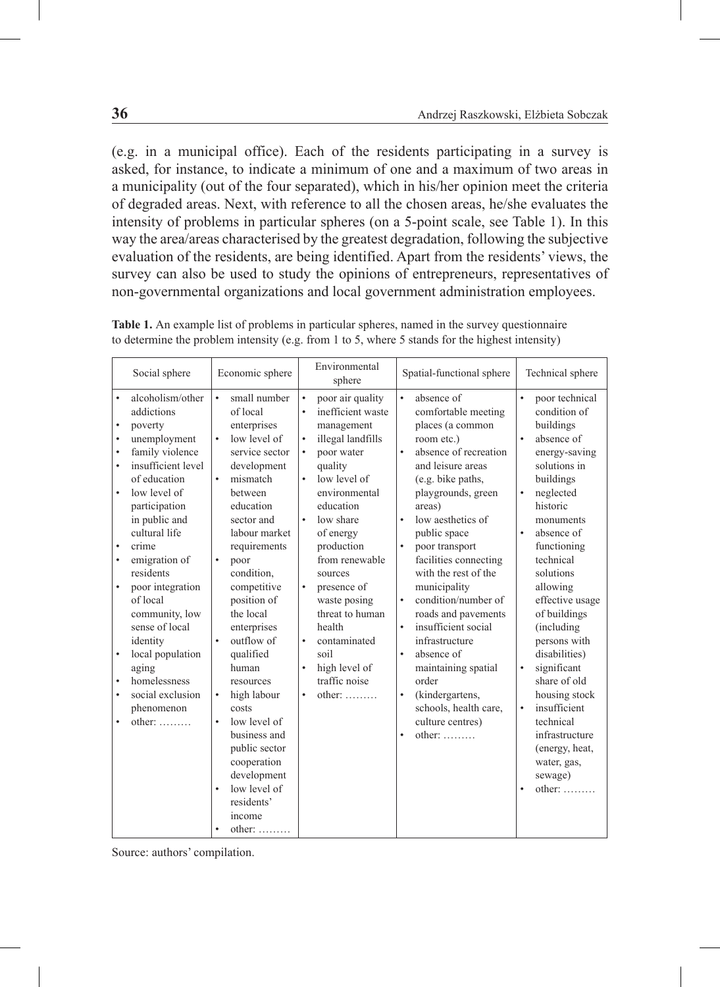(e.g. in a municipal office). Each of the residents participating in a survey is asked, for instance, to indicate a minimum of one and a maximum of two areas in a municipality (out of the four separated), which in his/her opinion meet the criteria of degraded areas. Next, with reference to all the chosen areas, he/she evaluates the intensity of problems in particular spheres (on a 5-point scale, see Table 1). In this way the area/areas characterised by the greatest degradation, following the subjective evaluation of the residents, are being identified. Apart from the residents' views, the survey can also be used to study the opinions of entrepreneurs, representatives of non-governmental organizations and local government administration employees.

| Social sphere                                                                                                                                                                                                                                                                                                                                                                                                                                                                                                                    | Economic sphere                                                                                                                                                                                                                                                                                                                                                                                                                                                                                                                                        | Environmental<br>sphere                                                                                                                                                                                                                                                                                                                                                                             | Spatial-functional sphere                                                                                                                                                                                                                                                                                                                                                                                                                                                                                                                                                                                                                   | Technical sphere                                                                                                                                                                                                                                                                                                                                                                                                                                                                                                                                |
|----------------------------------------------------------------------------------------------------------------------------------------------------------------------------------------------------------------------------------------------------------------------------------------------------------------------------------------------------------------------------------------------------------------------------------------------------------------------------------------------------------------------------------|--------------------------------------------------------------------------------------------------------------------------------------------------------------------------------------------------------------------------------------------------------------------------------------------------------------------------------------------------------------------------------------------------------------------------------------------------------------------------------------------------------------------------------------------------------|-----------------------------------------------------------------------------------------------------------------------------------------------------------------------------------------------------------------------------------------------------------------------------------------------------------------------------------------------------------------------------------------------------|---------------------------------------------------------------------------------------------------------------------------------------------------------------------------------------------------------------------------------------------------------------------------------------------------------------------------------------------------------------------------------------------------------------------------------------------------------------------------------------------------------------------------------------------------------------------------------------------------------------------------------------------|-------------------------------------------------------------------------------------------------------------------------------------------------------------------------------------------------------------------------------------------------------------------------------------------------------------------------------------------------------------------------------------------------------------------------------------------------------------------------------------------------------------------------------------------------|
| alcoholism/other<br>$\bullet$<br>addictions<br>poverty<br>$\bullet$<br>unemployment<br>$\bullet$<br>family violence<br>$\bullet$<br>insufficient level<br>$\bullet$<br>of education<br>low level of<br>participation<br>in public and<br>cultural life<br>crime<br>٠<br>emigration of<br>$\bullet$<br>residents<br>poor integration<br>$\bullet$<br>of local<br>community, low<br>sense of local<br>identity<br>local population<br>aging<br>homelessness<br>social exclusion<br>٠<br>phenomenon<br>$other: \ldots$<br>$\bullet$ | small number<br>$\bullet$<br>of local<br>enterprises<br>$\bullet$<br>low level of<br>service sector<br>development<br>mismatch<br>$\bullet$<br>hetween<br>education<br>sector and<br>labour market<br>requirements<br>$\bullet$<br>poor<br>condition,<br>competitive<br>position of<br>the local<br>enterprises<br>outflow of<br>$\bullet$<br>qualified<br>human<br>resources<br>high labour<br>$\bullet$<br>costs<br>low level of<br>$\bullet$<br>business and<br>public sector<br>cooperation<br>development<br>low level of<br>residents'<br>income | poor air quality<br>inefficient waste<br>٠<br>management<br>illegal landfills<br>$\bullet$<br>poor water<br>٠<br>quality<br>low level of<br>environmental<br>education<br>low share<br>٠<br>of energy<br>production<br>from renewable<br>sources<br>٠<br>presence of<br>waste posing<br>threat to human<br>health<br>contaminated<br>soil<br>high level of<br>traffic noise<br>$other: \ldots$<br>٠ | $\bullet$<br>absence of<br>comfortable meeting<br>places (a common<br>room etc.)<br>absence of recreation<br>$\bullet$<br>and leisure areas<br>(e.g. bike paths,<br>playgrounds, green<br>areas)<br>low aesthetics of<br>$\bullet$<br>public space<br>poor transport<br>$\bullet$<br>facilities connecting<br>with the rest of the<br>municipality<br>$\bullet$<br>condition/number of<br>roads and pavements<br>insufficient social<br>$\bullet$<br>infrastructure<br>absence of<br>$\bullet$<br>maintaining spatial<br>order<br>(kindergartens,<br>$\bullet$<br>schools, health care,<br>culture centres)<br>$other: \ldots$<br>$\bullet$ | $\bullet$<br>poor technical<br>condition of<br>buildings<br>$\bullet$<br>absence of<br>energy-saving<br>solutions in<br>buildings<br>neglected<br>$\bullet$<br>historic<br>monuments<br>absence of<br>$\bullet$<br>functioning<br>technical<br>solutions<br>allowing<br>effective usage<br>of buildings<br>(including)<br>persons with<br>disabilities)<br>significant<br>$\bullet$<br>share of old<br>housing stock<br>insufficient<br>$\bullet$<br>technical<br>infrastructure<br>(energy, heat,<br>water, gas,<br>sewage)<br>$other: \ldots$ |
|                                                                                                                                                                                                                                                                                                                                                                                                                                                                                                                                  | other:                                                                                                                                                                                                                                                                                                                                                                                                                                                                                                                                                 |                                                                                                                                                                                                                                                                                                                                                                                                     |                                                                                                                                                                                                                                                                                                                                                                                                                                                                                                                                                                                                                                             |                                                                                                                                                                                                                                                                                                                                                                                                                                                                                                                                                 |

**Table 1.** An example list of problems in particular spheres, named in the survey questionnaire to determine the problem intensity (e.g. from 1 to 5, where 5 stands for the highest intensity)

Source: authors' compilation.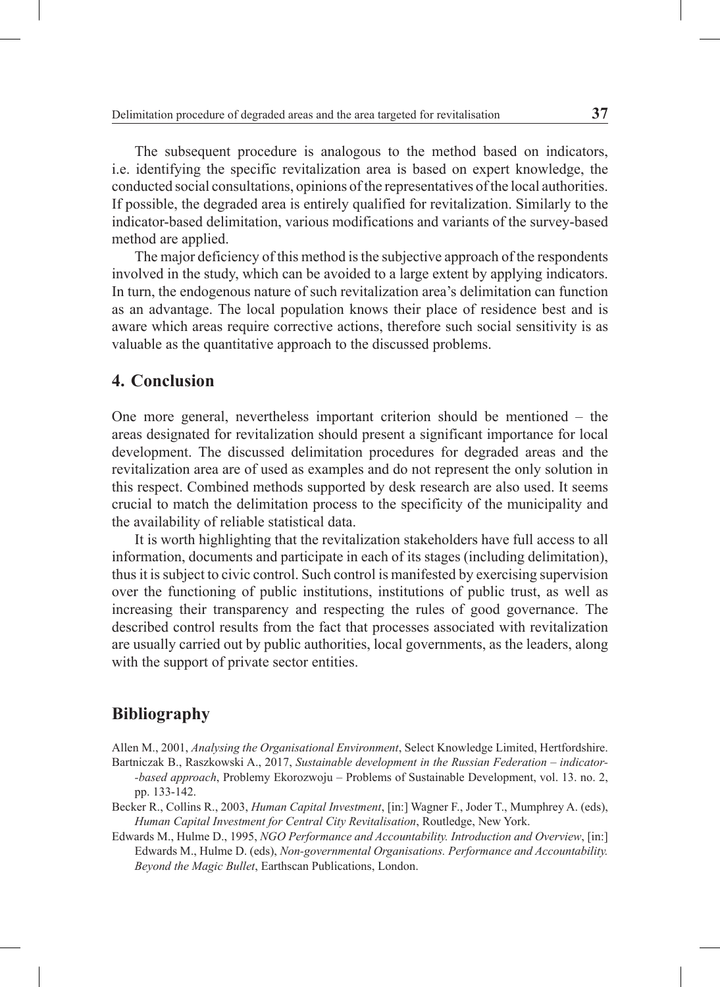The subsequent procedure is analogous to the method based on indicators, i.e. identifying the specific revitalization area is based on expert knowledge, the conducted social consultations, opinions of the representatives of the local authorities. If possible, the degraded area is entirely qualified for revitalization. Similarly to the indicator-based delimitation, various modifications and variants of the survey-based method are applied.

The major deficiency of this method is the subjective approach of the respondents involved in the study, which can be avoided to a large extent by applying indicators. In turn, the endogenous nature of such revitalization area's delimitation can function as an advantage. The local population knows their place of residence best and is aware which areas require corrective actions, therefore such social sensitivity is as valuable as the quantitative approach to the discussed problems.

## **4. Conclusion**

One more general, nevertheless important criterion should be mentioned – the areas designated for revitalization should present a significant importance for local development. The discussed delimitation procedures for degraded areas and the revitalization area are of used as examples and do not represent the only solution in this respect. Combined methods supported by desk research are also used. It seems crucial to match the delimitation process to the specificity of the municipality and the availability of reliable statistical data.

It is worth highlighting that the revitalization stakeholders have full access to all information, documents and participate in each of its stages (including delimitation), thus it is subject to civic control. Such control is manifested by exercising supervision over the functioning of public institutions, institutions of public trust, as well as increasing their transparency and respecting the rules of good governance. The described control results from the fact that processes associated with revitalization are usually carried out by public authorities, local governments, as the leaders, along with the support of private sector entities.

## **Bibliography**

Allen M., 2001, *Analysing the Organisational Environment*, Select Knowledge Limited, Hertfordshire.

Bartniczak B., Raszkowski A., 2017, *Sustainable development in the Russian Federation – indicator- -based approach*, Problemy Ekorozwoju – Problems of Sustainable Development, vol. 13. no. 2, pp. 133-142.

Becker R., Collins R., 2003, *Human Capital Investment*, [in:] Wagner F., Joder T., Mumphrey A. (eds), *Human Capital Investment for Central City Revitalisation*, Routledge, New York.

Edwards M., Hulme D., 1995, *NGO Performance and Accountability. Introduction and Overview*, [in:] Edwards M., Hulme D. (eds), *Non-governmental Organisations. Performance and Accountability. Beyond the Magic Bullet*, Earthscan Publications, London.